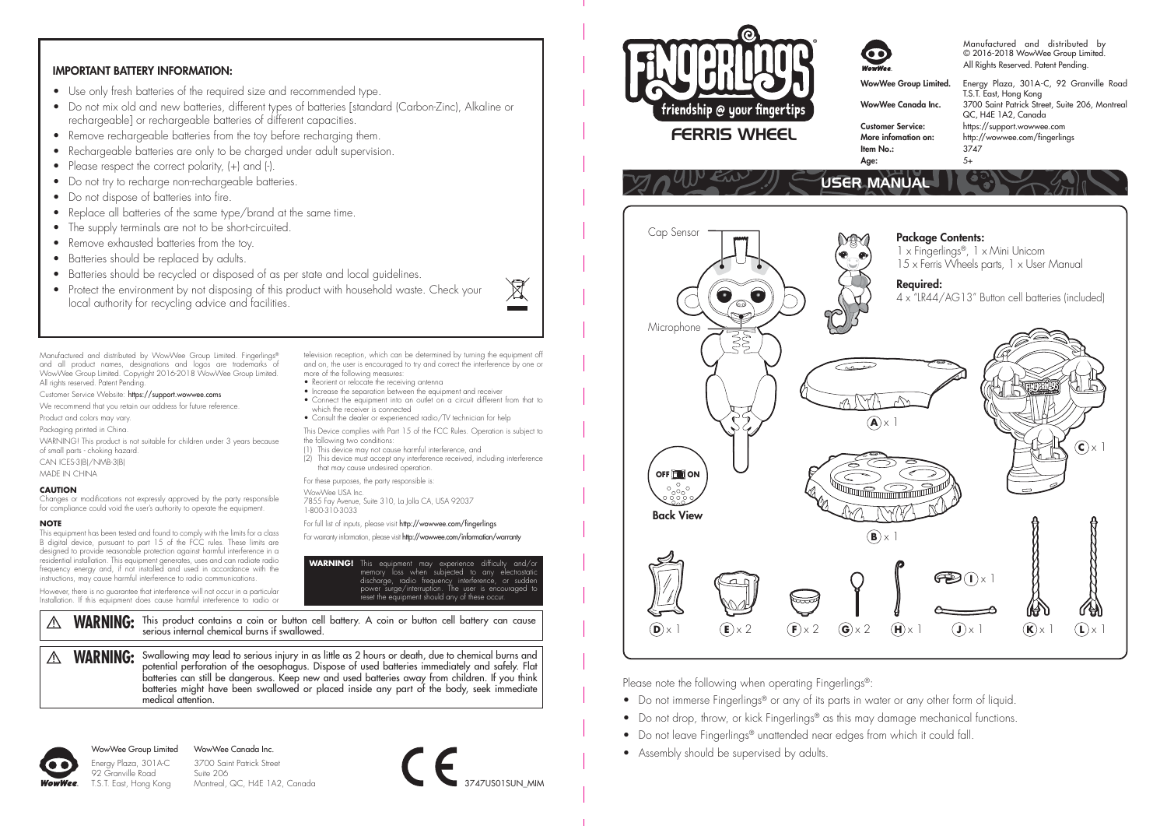### IMPORTANT BATTERY INFORMATION:

- Use only fresh batteries of the required size and recommended type.
- Do not mix old and new batteries, different types of batteries [standard (Carbon-Zinc), Alkaline or rechargeable] or rechargeable batteries of different capacities.
- Remove rechargeable batteries from the toy before recharging them.
- Rechargeable batteries are only to be charged under adult supervision.
- Please respect the correct polarity, (+) and (-).
- Do not try to recharge non-rechargeable batteries.
- Do not dispose of batteries into fire.
- Replace all batteries of the same type/brand at the same time.
- The supply terminals are not to be short-circuited.
- Remove exhausted batteries from the toy.
- Batteries should be replaced by adults.
- Batteries should be recycled or disposed of as per state and local auidelines.
- Protect the environment by not disposing of this product with household waste. Check your local authority for recycling advice and facilities.

Manufactured and distributed by WowWee Group Limited. Fingerlings® and all product names, designations and logos are trademarks of WowWee Group Limited. Copyright 2016-2018 WowWee Group Limited. All rights reserved. Patent Pending.

- Customer Service Website: https://support.wowwee.coms We recommend that you retain our address for future reference.
- 
- Product and colors may vary. Packaging printed in China.
- WARNING! This product is not suitable for children under 3 years because
- of small parts choking hazard. CAN ICES-3(B)/NMB-3(B)
- MADE IN CHINA

#### **CAUTION**

Changes or modifications not expressly approved by the party responsible for compliance could void the user's authority to operate the equipment.

#### **NOTE**

This equipment has been tested and found to comply with the limits for a class B digital device, pursuant to part 15 of the FCC rules. These limits are designed to provide reasonable protection against harmful interference in a residential installation. This equipment generates, uses and can radiate radio frequency energy and, if not installed and used in accordance with the instructions, may cause harmful interference to radio communications.

However, there is no guarantee that interference will not occur in a particular Installation. If this equipment does cause harmful interference to radio or

WARNING: This product contains a coin or button cell battery. A coin or button cell battery can cause  $\mathbb{A}$ serious internal chemical burns if swallowed.

WARNING: Swallowing may lead to serious injury in as little as 2 hours or death, due to chemical burns and  $\wedge$ potential perforation of the oesophagus. Dispose of used batteries immediately and safely. Flat batteries can still be dangerous. Keep new and used batteries away from children. If you think batteries might have been swallowed or placed inside any part of the body, seek immediate medical attention.

92 Granville Road

WowWee Group Limited Energy Plaza, 301A-C WowWee Canada Inc.

T.S.T. East, Hong Kong 3700 Saint Patrick Street Suite 206 Montreal, QC, H4E 1A2, Canada



**WARNING!** This equipment may experience difficulty and/or memory loss when subjected to any electrostatic discharge, radio frequency interference, or sudden power surge/interruption. The user is encouraged to reset the equipment should any of these occur.

(2) This device must accept any interference received, including interference

television reception, which can be determined by turning the equipment off and on, the user is encouraged to try and correct the interference by one or

• Increase the separation between the equipment and receiver • Connect the equipment into an outlet on a circuit different from that to

• Consult the dealer or experienced radio/TV technician for help This Device complies with Part 15 of the FCC Rules. Operation is subject to

(1) This device may not cause harmful interference, and

7855 Fay Avenue, Suite 310, La Jolla CA, USA 92037

For full list of inputs, please visit http://wowwee.com/fingerlings For warranty information, please visit http://wowwee.com/information/warranty

that may cause undesired operation. For these purposes, the party responsible is:

more of the following measures: • Reorient or relocate the receiving antenna

which the receiver is connected

the following two conditions:

WowWee USA Inc.

1-800-310-3033





#### Manufactured and distributed by © 2016-2018 WowWee Group Limited. All Rights Reserved. Patent Pending.

WowWee Group Limited. Energy Plaza, 301A-C, 92 Granville Road T.S.T. East, Hong Kong WowWee Canada Inc. 3700 Saint Patrick Street, Suite 206, Montreal QC, H4E 1A2, Canada Customer Service: https://support.wowwee.com http://wowwee.com/fingerlings<br>3747 Item No.:  $37\overline{)}$ <br>Age:  $5+$ 



Age:

Please note the following when operating Fingerlings®:

- Do not immerse Fingerlings® or any of its parts in water or any other form of liquid.
- Do not drop, throw, or kick Fingerlings® as this may damage mechanical functions.
- Do not leave Fingerlings® unattended near edges from which it could fall
- Assembly should be supervised by adults.

 $\overline{\mathbb{X}}$